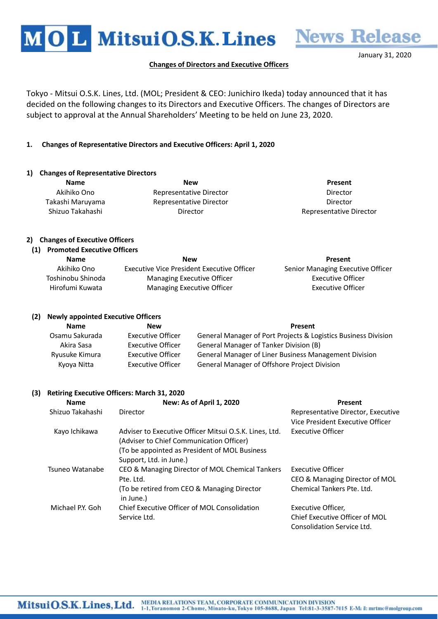

## Changes of Directors and Executive Officers

Tokyo - Mitsui O.S.K. Lines, Ltd. (MOL; President & CEO: Junichiro Ikeda) today announced that it has decided on the following changes to its Directors and Executive Officers. The changes of Directors are subject to approval at the Annual Shareholders' Meeting to be held on June 23, 2020.

# 1. Changes of Representative Directors and Executive Officers: April 1, 2020

### 1) Changes of Representative Directors

Name **New Real Present** Present Akihiko Ono **Representative Director Representative Director Director** Takashi Maruyama Representative Director Director Shizuo Takahashi **Director** Director **Constanting Director** Representative Director

# 2) Changes of Executive Officers

### (1) Promoted Executive Officers

| <b>Name</b>       | <b>New</b>                                 | Present                           |
|-------------------|--------------------------------------------|-----------------------------------|
| Akihiko Ono       | Executive Vice President Executive Officer | Senior Managing Executive Officer |
| Toshinobu Shinoda | Managing Executive Officer                 | Executive Officer                 |
| Hirofumi Kuwata   | Managing Executive Officer                 | Executive Officer                 |

### (2) Newly appointed Executive Officers

| <b>Name</b>    | <b>New</b>               | Present                                                        |
|----------------|--------------------------|----------------------------------------------------------------|
| Osamu Sakurada | Executive Officer        | General Manager of Port Projects & Logistics Business Division |
| Akira Sasa     | Executive Officer        | General Manager of Tanker Division (B)                         |
| Ryusuke Kimura | <b>Executive Officer</b> | General Manager of Liner Business Management Division          |
| Kyoya Nitta    | <b>Executive Officer</b> | General Manager of Offshore Project Division                   |

### (3) Retiring Executive Officers: March 31, 2020

| <b>Name</b>      | New: As of April 1, 2020                                                                                                                                                        | Present                                                                |
|------------------|---------------------------------------------------------------------------------------------------------------------------------------------------------------------------------|------------------------------------------------------------------------|
| Shizuo Takahashi | Director                                                                                                                                                                        | Representative Director, Executive<br>Vice President Executive Officer |
| Kayo Ichikawa    | Adviser to Executive Officer Mitsui O.S.K. Lines, Ltd.<br>(Adviser to Chief Communication Officer)<br>(To be appointed as President of MOL Business)<br>Support, Ltd. in June.) | Executive Officer                                                      |
| Tsuneo Watanabe  | CEO & Managing Director of MOL Chemical Tankers<br>Pte. Ltd.                                                                                                                    | Executive Officer<br>CEO & Managing Director of MOL                    |
|                  | (To be retired from CEO & Managing Director<br>in June.)                                                                                                                        | Chemical Tankers Pte. Ltd.                                             |
| Michael P.Y. Goh | Chief Executive Officer of MOL Consolidation                                                                                                                                    | Executive Officer,                                                     |
|                  | Service Ltd.                                                                                                                                                                    | Chief Executive Officer of MOL                                         |
|                  |                                                                                                                                                                                 | Consolidation Service Ltd.                                             |

January 31, 2020

**News Release**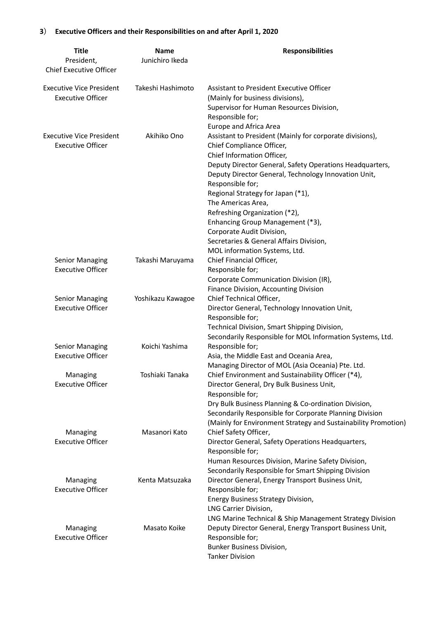# 3) Executive Officers and their Responsibilities on and after April 1, 2020

| <b>Title</b><br>President,<br><b>Chief Executive Officer</b> | Name<br>Junichiro Ikeda | <b>Responsibilities</b>                                                                                                                                                                                                                                                                                                                                                                                                                                                                                                        |
|--------------------------------------------------------------|-------------------------|--------------------------------------------------------------------------------------------------------------------------------------------------------------------------------------------------------------------------------------------------------------------------------------------------------------------------------------------------------------------------------------------------------------------------------------------------------------------------------------------------------------------------------|
| <b>Executive Vice President</b><br><b>Executive Officer</b>  | Takeshi Hashimoto       | Assistant to President Executive Officer<br>(Mainly for business divisions),<br>Supervisor for Human Resources Division,<br>Responsible for;                                                                                                                                                                                                                                                                                                                                                                                   |
| <b>Executive Vice President</b><br><b>Executive Officer</b>  | Akihiko Ono             | Europe and Africa Area<br>Assistant to President (Mainly for corporate divisions),<br>Chief Compliance Officer,<br>Chief Information Officer,<br>Deputy Director General, Safety Operations Headquarters,<br>Deputy Director General, Technology Innovation Unit,<br>Responsible for;<br>Regional Strategy for Japan (*1),<br>The Americas Area,<br>Refreshing Organization (*2),<br>Enhancing Group Management (*3),<br>Corporate Audit Division,<br>Secretaries & General Affairs Division,<br>MOL information Systems, Ltd. |
| <b>Senior Managing</b><br><b>Executive Officer</b>           | Takashi Maruyama        | Chief Financial Officer,<br>Responsible for;<br>Corporate Communication Division (IR),<br>Finance Division, Accounting Division                                                                                                                                                                                                                                                                                                                                                                                                |
| <b>Senior Managing</b><br><b>Executive Officer</b>           | Yoshikazu Kawagoe       | Chief Technical Officer,<br>Director General, Technology Innovation Unit,<br>Responsible for;<br>Technical Division, Smart Shipping Division,<br>Secondarily Responsible for MOL Information Systems, Ltd.                                                                                                                                                                                                                                                                                                                     |
| <b>Senior Managing</b><br><b>Executive Officer</b>           | Koichi Yashima          | Responsible for;<br>Asia, the Middle East and Oceania Area,<br>Managing Director of MOL (Asia Oceania) Pte. Ltd.                                                                                                                                                                                                                                                                                                                                                                                                               |
| Managing<br><b>Executive Officer</b>                         | Toshiaki Tanaka         | Chief Environment and Sustainability Officer (*4),<br>Director General, Dry Bulk Business Unit,<br>Responsible for;<br>Dry Bulk Business Planning & Co-ordination Division,<br>Secondarily Responsible for Corporate Planning Division<br>(Mainly for Environment Strategy and Sustainability Promotion)                                                                                                                                                                                                                       |
| Managing<br><b>Executive Officer</b>                         | Masanori Kato           | Chief Safety Officer,<br>Director General, Safety Operations Headquarters,<br>Responsible for;<br>Human Resources Division, Marine Safety Division,<br>Secondarily Responsible for Smart Shipping Division                                                                                                                                                                                                                                                                                                                     |
| Managing<br><b>Executive Officer</b>                         | Kenta Matsuzaka         | Director General, Energy Transport Business Unit,<br>Responsible for;<br>Energy Business Strategy Division,<br>LNG Carrier Division,<br>LNG Marine Technical & Ship Management Strategy Division                                                                                                                                                                                                                                                                                                                               |
| Managing<br><b>Executive Officer</b>                         | Masato Koike            | Deputy Director General, Energy Transport Business Unit,<br>Responsible for;<br><b>Bunker Business Division,</b><br><b>Tanker Division</b>                                                                                                                                                                                                                                                                                                                                                                                     |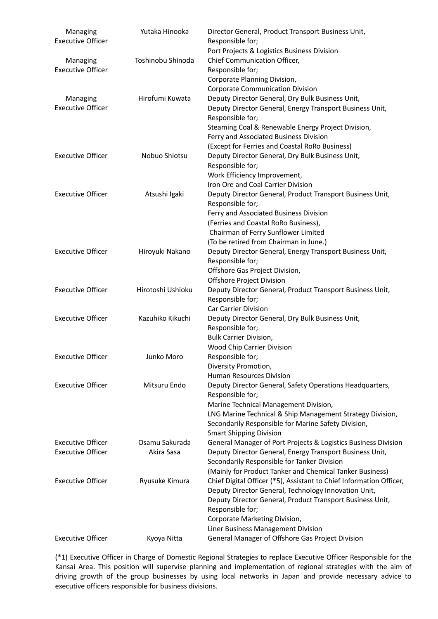| Managing<br><b>Executive Officer</b> | Yutaka Hinooka    | Director General, Product Transport Business Unit,<br>Responsible for;<br>Port Projects & Logistics Business Division           |
|--------------------------------------|-------------------|---------------------------------------------------------------------------------------------------------------------------------|
| Managing<br><b>Executive Officer</b> | Toshinobu Shinoda | Chief Communication Officer,<br>Responsible for;                                                                                |
|                                      |                   | Corporate Planning Division,                                                                                                    |
|                                      |                   | <b>Corporate Communication Division</b>                                                                                         |
| Managing                             | Hirofumi Kuwata   | Deputy Director General, Dry Bulk Business Unit,                                                                                |
| <b>Executive Officer</b>             |                   | Deputy Director General, Energy Transport Business Unit,<br>Responsible for;                                                    |
|                                      |                   | Steaming Coal & Renewable Energy Project Division,<br>Ferry and Associated Business Division                                    |
|                                      |                   | (Except for Ferries and Coastal RoRo Business)                                                                                  |
| <b>Executive Officer</b>             | Nobuo Shiotsu     | Deputy Director General, Dry Bulk Business Unit,                                                                                |
|                                      |                   | Responsible for;                                                                                                                |
|                                      |                   | Work Efficiency Improvement,                                                                                                    |
|                                      |                   | Iron Ore and Coal Carrier Division                                                                                              |
| <b>Executive Officer</b>             | Atsushi Igaki     | Deputy Director General, Product Transport Business Unit,<br>Responsible for;                                                   |
|                                      |                   | Ferry and Associated Business Division                                                                                          |
|                                      |                   | (Ferries and Coastal RoRo Business),                                                                                            |
|                                      |                   | Chairman of Ferry Sunflower Limited                                                                                             |
|                                      |                   | (To be retired from Chairman in June.)                                                                                          |
| <b>Executive Officer</b>             | Hiroyuki Nakano   | Deputy Director General, Energy Transport Business Unit,                                                                        |
|                                      |                   | Responsible for;                                                                                                                |
|                                      |                   | Offshore Gas Project Division,                                                                                                  |
|                                      |                   | Offshore Project Division                                                                                                       |
| <b>Executive Officer</b>             | Hirotoshi Ushioku | Deputy Director General, Product Transport Business Unit,<br>Responsible for;                                                   |
|                                      |                   | <b>Car Carrier Division</b>                                                                                                     |
| <b>Executive Officer</b>             | Kazuhiko Kikuchi  | Deputy Director General, Dry Bulk Business Unit,                                                                                |
|                                      |                   | Responsible for;                                                                                                                |
|                                      |                   | <b>Bulk Carrier Division,</b>                                                                                                   |
|                                      |                   | Wood Chip Carrier Division                                                                                                      |
| <b>Executive Officer</b>             | Junko Moro        | Responsible for;                                                                                                                |
|                                      |                   | Diversity Promotion,                                                                                                            |
|                                      |                   | <b>Human Resources Division</b>                                                                                                 |
| <b>Executive Officer</b>             | Mitsuru Endo      | Deputy Director General, Safety Operations Headquarters,<br>Responsible for;                                                    |
|                                      |                   | Marine Technical Management Division,                                                                                           |
|                                      |                   | LNG Marine Technical & Ship Management Strategy Division,                                                                       |
|                                      |                   | Secondarily Responsible for Marine Safety Division,                                                                             |
|                                      |                   | <b>Smart Shipping Division</b>                                                                                                  |
| <b>Executive Officer</b>             | Osamu Sakurada    | General Manager of Port Projects & Logistics Business Division                                                                  |
| <b>Executive Officer</b>             | Akira Sasa        | Deputy Director General, Energy Transport Business Unit,<br>Secondarily Responsible for Tanker Division                         |
| <b>Executive Officer</b>             |                   | (Mainly for Product Tanker and Chemical Tanker Business)<br>Chief Digital Officer (*5), Assistant to Chief Information Officer, |
|                                      | Ryusuke Kimura    |                                                                                                                                 |
|                                      |                   | Deputy Director General, Technology Innovation Unit,                                                                            |
|                                      |                   | Deputy Director General, Product Transport Business Unit,                                                                       |
|                                      |                   | Responsible for;<br>Corporate Marketing Division,                                                                               |
|                                      |                   | Liner Business Management Division                                                                                              |
| <b>Executive Officer</b>             |                   | General Manager of Offshore Gas Project Division                                                                                |
|                                      | Kyoya Nitta       |                                                                                                                                 |

(\*1) Executive Officer in Charge of Domestic Regional Strategies to replace Executive Officer Responsible for the Kansai Area. This position will supervise planning and implementation of regional strategies with the aim of driving growth of the group businesses by using local networks in Japan and provide necessary advice to executive officers responsible for business divisions.